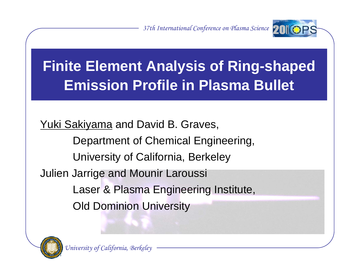*37th International Conference on Plasma Science*



# **Finite Element Analysis of Ring-shaped Emission Profile in Plasma Bullet**

Yuki Sakiyama and David B. Graves,

Department of Chemical Engineering,

University of California, Berkeley

Julien Jarrige and Mounir Laroussi

Laser & Plasma Engineering Institute,

Old Dominion University

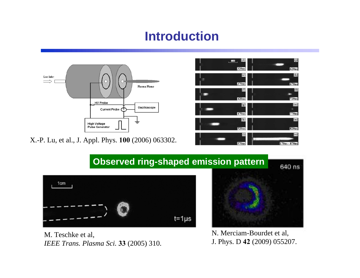# **Introduction**



X.-P. Lu, et al., J. Appl. Phys. **100** (2006) 063302.



#### **Observed ring-shaped emission pattern**



M. Teschke et al, *IEEE Trans. Plasma Sci.* **33** (2005) 310.



N. Merciam-Bourdet et al, J. Phys. D **42** (2009) 055207.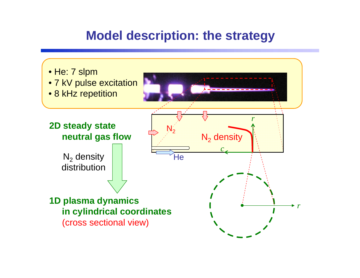#### **Model description: the strategy**

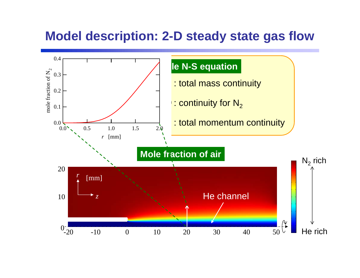#### **Model description: 2-D steady state gas flow**

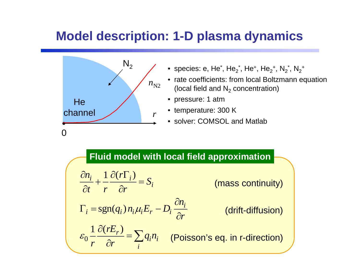# **Model description: 1-D plasma dynamics**



- $\bullet\,$  species: e, He $\rm\check{.},$  He $\rm\check{_2}$ , He $\rm\check{.},$  He $\rm\check{_2}$ +, N $\rm\check{_2}$ \*, N $\rm\check{_2}^+$
- rate coefficients: from local Boltzmann equation (local field and  $\mathsf{N}_2$  concentration)
- pressure: 1 atm
- temperature: 300 K
- solver: COMSOL and Matlab

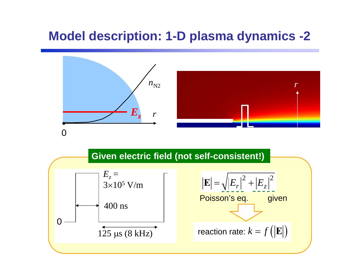# **Model description: 1-D plasma dynamics -2**



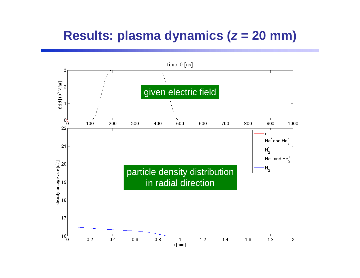### **Results: plasma dynamics (** *z* **= 20 mm)**

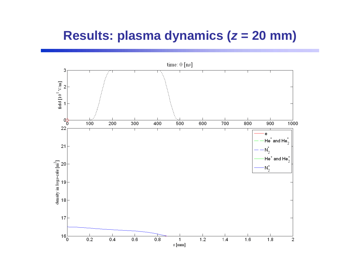#### **Results: plasma dynamics (** *z* **= 20 mm)**

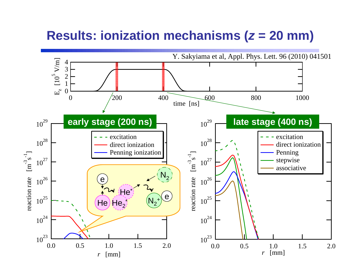#### **Results: ionization mechanisms (***<sup>z</sup>* **= 20 mm)**

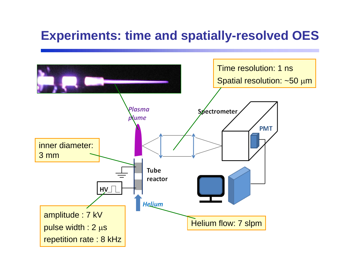### **Experiments: time and spatially-resolved OES**

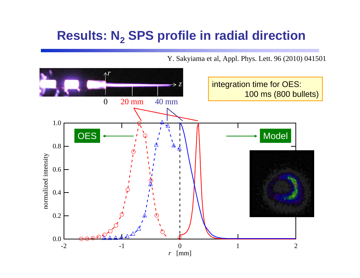# **Results: N2 SPS profile in radial direction**

Y. Sakyiama et al, Appl. Phys. Lett. 96 (2010) 041501

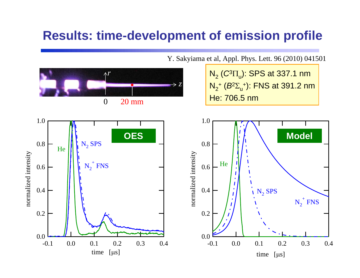#### **Results: time-development of emission profile**



Y. Sakyiama et al, Appl. Phys. Lett. 96 (2010) 041501